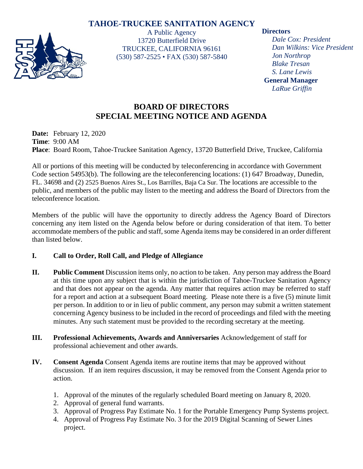# **TAHOE-TRUCKEE SANITATION AGENCY**



A Public Agency 13720 Butterfield Drive TRUCKEE, CALIFORNIA 96161 (530) 587-2525 • FAX (530) 587-5840

#### **Directors**

*Dale Cox: President Dan Wilkins: Vice President Jon Northrop Blake Tresan S. Lane Lewis* **General Manager** *LaRue Griffin*

# **BOARD OF DIRECTORS SPECIAL MEETING NOTICE AND AGENDA**

**Date:** February 12, 2020 **Time**: 9:00 AM **Place**: Board Room, Tahoe-Truckee Sanitation Agency, 13720 Butterfield Drive, Truckee, California

All or portions of this meeting will be conducted by teleconferencing in accordance with Government Code section 54953(b). The following are the teleconferencing locations: (1) 647 Broadway, Dunedin, FL. 34698 and (2) 2525 Buenos Aires St., Los Barrilles, Baja Ca Sur. The locations are accessible to the public, and members of the public may listen to the meeting and address the Board of Directors from the teleconference location.

Members of the public will have the opportunity to directly address the Agency Board of Directors concerning any item listed on the Agenda below before or during consideration of that item. To better accommodate members of the public and staff, some Agenda items may be considered in an order different than listed below.

## **I. Call to Order, Roll Call, and Pledge of Allegiance**

- **II. Public Comment** Discussion items only, no action to be taken. Any person may address the Board at this time upon any subject that is within the jurisdiction of Tahoe-Truckee Sanitation Agency and that does not appear on the agenda. Any matter that requires action may be referred to staff for a report and action at a subsequent Board meeting. Please note there is a five (5) minute limit per person. In addition to or in lieu of public comment, any person may submit a written statement concerning Agency business to be included in the record of proceedings and filed with the meeting minutes. Any such statement must be provided to the recording secretary at the meeting.
- **III. Professional Achievements, Awards and Anniversaries** Acknowledgement of staff for professional achievement and other awards.
- **IV. Consent Agenda** Consent Agenda items are routine items that may be approved without discussion. If an item requires discussion, it may be removed from the Consent Agenda prior to action.
	- 1. Approval of the minutes of the regularly scheduled Board meeting on January 8, 2020.
	- 2. Approval of general fund warrants.
	- 3. Approval of Progress Pay Estimate No. 1 for the Portable Emergency Pump Systems project.
	- 4. Approval of Progress Pay Estimate No. 3 for the 2019 Digital Scanning of Sewer Lines project.